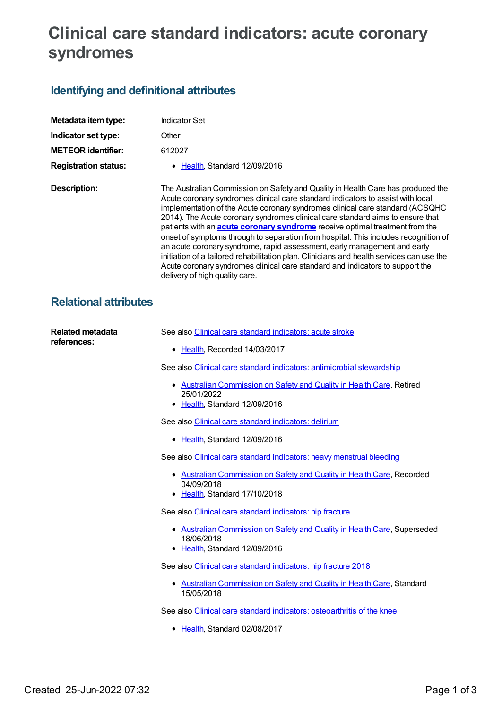## **Clinical care standard indicators: acute coronary syndromes**

## **Identifying and definitional attributes**

| Metadata item type:         | <b>Indicator Set</b>                                                                                                                                                                                                                                                                                                                                                                                                                                                                                                                                                                                                                                                                                                                                                                                          |
|-----------------------------|---------------------------------------------------------------------------------------------------------------------------------------------------------------------------------------------------------------------------------------------------------------------------------------------------------------------------------------------------------------------------------------------------------------------------------------------------------------------------------------------------------------------------------------------------------------------------------------------------------------------------------------------------------------------------------------------------------------------------------------------------------------------------------------------------------------|
| Indicator set type:         | Other                                                                                                                                                                                                                                                                                                                                                                                                                                                                                                                                                                                                                                                                                                                                                                                                         |
| <b>METEOR identifier:</b>   | 612027                                                                                                                                                                                                                                                                                                                                                                                                                                                                                                                                                                                                                                                                                                                                                                                                        |
| <b>Registration status:</b> | • Health, Standard 12/09/2016                                                                                                                                                                                                                                                                                                                                                                                                                                                                                                                                                                                                                                                                                                                                                                                 |
| Description:                | The Australian Commission on Safety and Quality in Health Care has produced the<br>Acute coronary syndromes clinical care standard indicators to assist with local<br>implementation of the Acute coronary syndromes clinical care standard (ACSQHC<br>2014). The Acute coronary syndromes clinical care standard aims to ensure that<br>patients with an <b>acute coronary syndrome</b> receive optimal treatment from the<br>onset of symptoms through to separation from hospital. This includes recognition of<br>an acute coronary syndrome, rapid assessment, early management and early<br>initiation of a tailored rehabilitation plan. Clinicians and health services can use the<br>Acute coronary syndromes clinical care standard and indicators to support the<br>delivery of high quality care. |

## **Relational attributes**

| <b>Related metadata</b><br>references: | See also Clinical care standard indicators: acute stroke                                                                |
|----------------------------------------|-------------------------------------------------------------------------------------------------------------------------|
|                                        | • Health, Recorded 14/03/2017                                                                                           |
|                                        | See also Clinical care standard indicators: antimicrobial stewardship                                                   |
|                                        | • Australian Commission on Safety and Quality in Health Care, Retired<br>25/01/2022<br>• Health, Standard 12/09/2016    |
|                                        | See also Clinical care standard indicators: delirium                                                                    |
|                                        | • Health, Standard 12/09/2016                                                                                           |
|                                        | See also Clinical care standard indicators: heavy menstrual bleeding                                                    |
|                                        | • Australian Commission on Safety and Quality in Health Care, Recorded<br>04/09/2018<br>• Health, Standard 17/10/2018   |
|                                        | See also Clinical care standard indicators: hip fracture                                                                |
|                                        | • Australian Commission on Safety and Quality in Health Care, Superseded<br>18/06/2018<br>• Health, Standard 12/09/2016 |
|                                        | See also Clinical care standard indicators: hip fracture 2018                                                           |
|                                        | • Australian Commission on Safety and Quality in Health Care, Standard<br>15/05/2018                                    |
|                                        | See also Clinical care standard indicators: osteoarthritis of the knee                                                  |
|                                        | • Health, Standard 02/08/2017                                                                                           |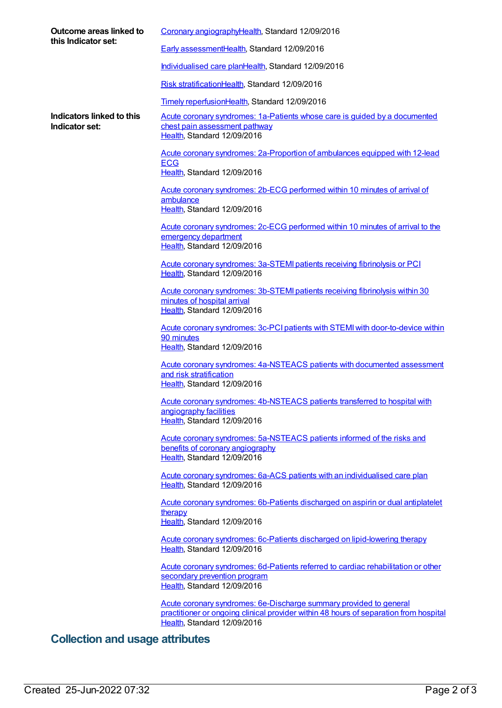| Outcome areas linked to<br>this Indicator set: | Coronary angiographyHealth, Standard 12/09/2016                                                                                                                                            |
|------------------------------------------------|--------------------------------------------------------------------------------------------------------------------------------------------------------------------------------------------|
|                                                | Early assessmentHealth, Standard 12/09/2016                                                                                                                                                |
|                                                | Individualised care planHealth, Standard 12/09/2016                                                                                                                                        |
|                                                | Risk stratificationHealth, Standard 12/09/2016                                                                                                                                             |
|                                                | Timely reperfusionHealth, Standard 12/09/2016                                                                                                                                              |
| Indicators linked to this<br>Indicator set:    | Acute coronary syndromes: 1a-Patients whose care is guided by a documented<br>chest pain assessment pathway<br>Health, Standard 12/09/2016                                                 |
|                                                | Acute coronary syndromes: 2a-Proportion of ambulances equipped with 12-lead<br><b>ECG</b><br>Health, Standard 12/09/2016                                                                   |
|                                                | Acute coronary syndromes: 2b-ECG performed within 10 minutes of arrival of<br>ambulance<br>Health, Standard 12/09/2016                                                                     |
|                                                | Acute coronary syndromes: 2c-ECG performed within 10 minutes of arrival to the<br>emergency department<br>Health, Standard 12/09/2016                                                      |
|                                                | Acute coronary syndromes: 3a-STEMI patients receiving fibrinolysis or PCI<br>Health, Standard 12/09/2016                                                                                   |
|                                                | Acute coronary syndromes: 3b-STEMI patients receiving fibrinolysis within 30<br>minutes of hospital arrival<br>Health, Standard 12/09/2016                                                 |
|                                                | Acute coronary syndromes: 3c-PCI patients with STEMI with door-to-device within<br>90 minutes<br>Health, Standard 12/09/2016                                                               |
|                                                | Acute coronary syndromes: 4a-NSTEACS patients with documented assessment<br>and risk stratification<br>Health, Standard 12/09/2016                                                         |
|                                                | Acute coronary syndromes: 4b-NSTEACS patients transferred to hospital with<br>angiography facilities<br>Health, Standard 12/09/2016                                                        |
|                                                | Acute coronary syndromes: 5a-NSTEACS patients informed of the risks and                                                                                                                    |
|                                                | benefits of coronary angiography<br>Health, Standard 12/09/2016                                                                                                                            |
|                                                | Acute coronary syndromes: 6a-ACS patients with an individualised care plan<br>Health, Standard 12/09/2016                                                                                  |
|                                                | Acute coronary syndromes: 6b-Patients discharged on aspirin or dual antiplatelet<br><b>therapy</b><br>Health, Standard 12/09/2016                                                          |
|                                                | Acute coronary syndromes: 6c-Patients discharged on lipid-lowering therapy<br>Health, Standard 12/09/2016                                                                                  |
|                                                | Acute coronary syndromes: 6d-Patients referred to cardiac rehabilitation or other<br>secondary prevention program<br>Health, Standard 12/09/2016                                           |
|                                                | Acute coronary syndromes: 6e-Discharge summary provided to general<br>practitioner or ongoing clinical provider within 48 hours of separation from hospital<br>Health, Standard 12/09/2016 |
| <b>Collection and usage attributes</b>         |                                                                                                                                                                                            |